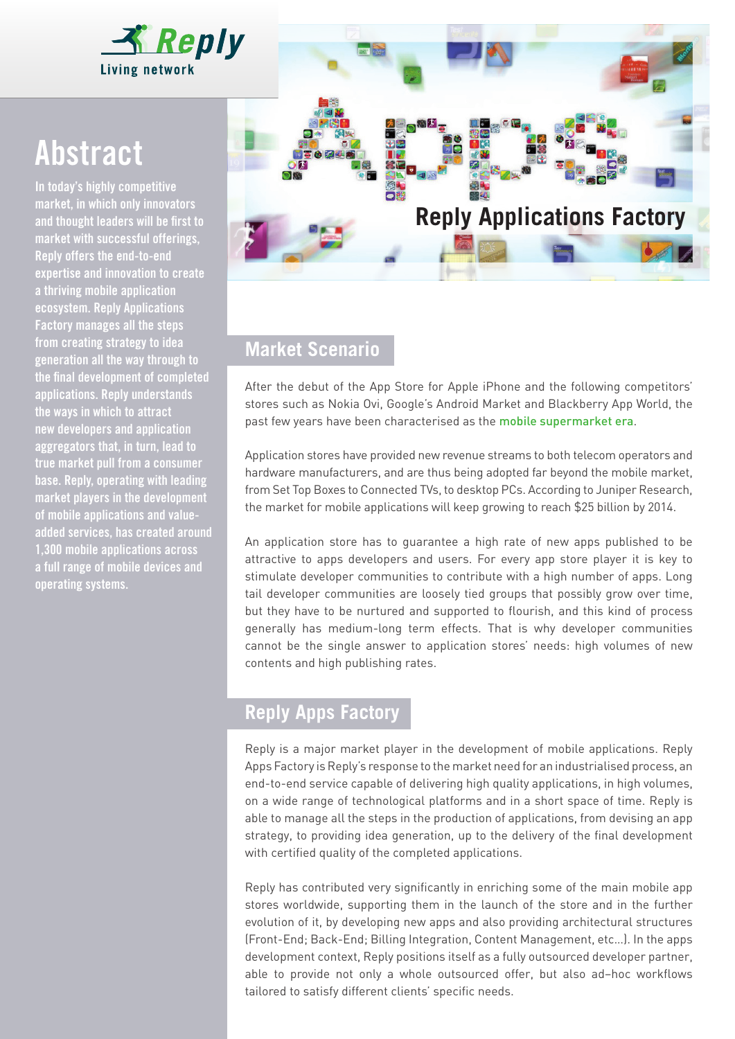

# Abstract

In today's highly competitive market, in which only innovators and thought leaders will be first to market with successful offerings, Reply offers the end-to-end expertise and innovation to create a thriving mobile application ecosystem. Reply Applications Factory manages all the steps from creating strategy to idea generation all the way through to the final development of completed applications. Reply understands the ways in which to attract new developers and application aggregators that, in turn, lead to true market pull from a consumer base. Reply, operating with leading market players in the development of mobile applications and valueadded services, has created around 1,300 mobile applications across a full range of mobile devices and operating systems.



## **Market Scenario**

After the debut of the App Store for Apple iPhone and the following competitors' stores such as Nokia Ovi, Google's Android Market and Blackberry App World, the past few years have been characterised as the mobile supermarket era.

Application stores have provided new revenue streams to both telecom operators and hardware manufacturers, and are thus being adopted far beyond the mobile market, from Set Top Boxes to Connected TVs, to desktop PCs. According to Juniper Research, the market for mobile applications will keep growing to reach \$25 billion by 2014.

An application store has to guarantee a high rate of new apps published to be attractive to apps developers and users. For every app store player it is key to stimulate developer communities to contribute with a high number of apps. Long tail developer communities are loosely tied groups that possibly grow over time, but they have to be nurtured and supported to flourish, and this kind of process generally has medium-long term effects. That is why developer communities cannot be the single answer to application stores' needs: high volumes of new contents and high publishing rates.

## **Reply Apps Factory**

Reply is a major market player in the development of mobile applications. Reply Apps Factory is Reply's response to the market need for an industrialised process, an end-to-end service capable of delivering high quality applications, in high volumes, on a wide range of technological platforms and in a short space of time. Reply is able to manage all the steps in the production of applications, from devising an app strategy, to providing idea generation, up to the delivery of the final development with certified quality of the completed applications.

Reply has contributed very significantly in enriching some of the main mobile app stores worldwide, supporting them in the launch of the store and in the further evolution of it, by developing new apps and also providing architectural structures (Front-End; Back-End; Billing Integration, Content Management, etc…). In the apps development context, Reply positions itself as a fully outsourced developer partner, able to provide not only a whole outsourced offer, but also ad–hoc workflows tailored to satisfy different clients' specific needs.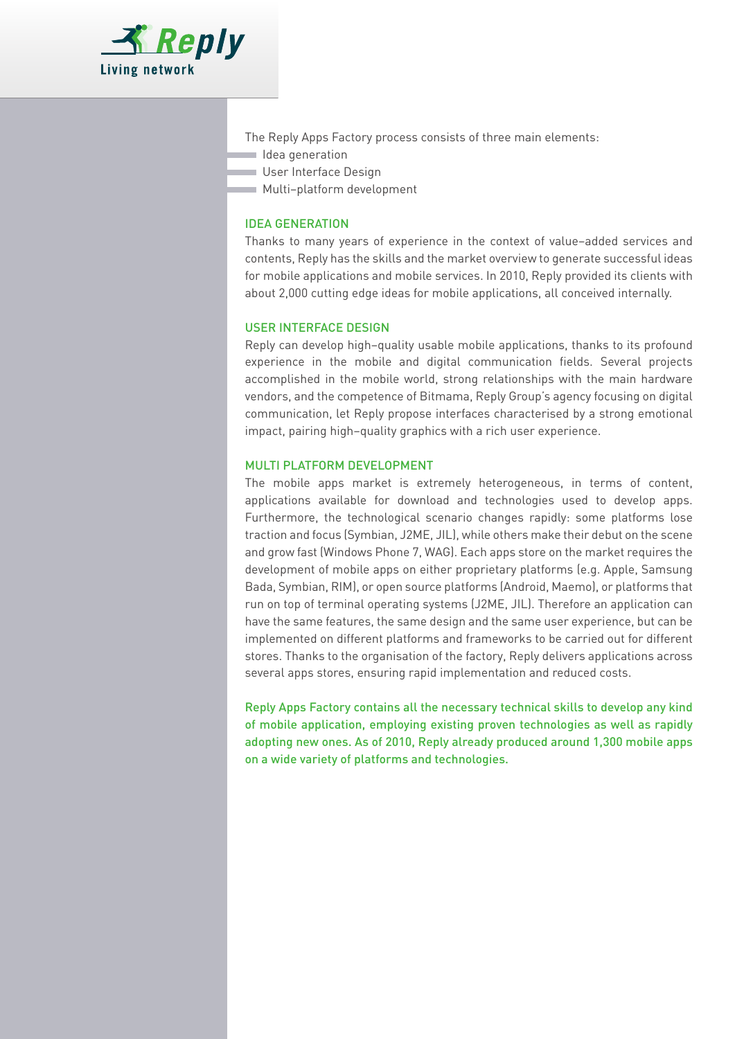

- The Reply Apps Factory process consists of three main elements:
- Idea generation
- User Interface Design
- Multi–platform development

#### IDEA GENERATION

Thanks to many years of experience in the context of value–added services and contents, Reply has the skills and the market overview to generate successful ideas for mobile applications and mobile services. In 2010, Reply provided its clients with about 2,000 cutting edge ideas for mobile applications, all conceived internally.

#### USER INTERFACE DESIGN

Reply can develop high–quality usable mobile applications, thanks to its profound experience in the mobile and digital communication fields. Several projects accomplished in the mobile world, strong relationships with the main hardware vendors, and the competence of Bitmama, Reply Group's agency focusing on digital communication, let Reply propose interfaces characterised by a strong emotional impact, pairing high–quality graphics with a rich user experience.

#### MULTI PLATFORM DEVELOPMENT

The mobile apps market is extremely heterogeneous, in terms of content, applications available for download and technologies used to develop apps. Furthermore, the technological scenario changes rapidly: some platforms lose traction and focus (Symbian, J2ME, JIL), while others make their debut on the scene and grow fast (Windows Phone 7, WAG). Each apps store on the market requires the development of mobile apps on either proprietary platforms (e.g. Apple, Samsung Bada, Symbian, RIM), or open source platforms (Android, Maemo), or platforms that run on top of terminal operating systems (J2ME, JIL). Therefore an application can have the same features, the same design and the same user experience, but can be implemented on different platforms and frameworks to be carried out for different stores. Thanks to the organisation of the factory, Reply delivers applications across several apps stores, ensuring rapid implementation and reduced costs.

Reply Apps Factory contains all the necessary technical skills to develop any kind of mobile application, employing existing proven technologies as well as rapidly adopting new ones. As of 2010, Reply already produced around 1,300 mobile apps on a wide variety of platforms and technologies.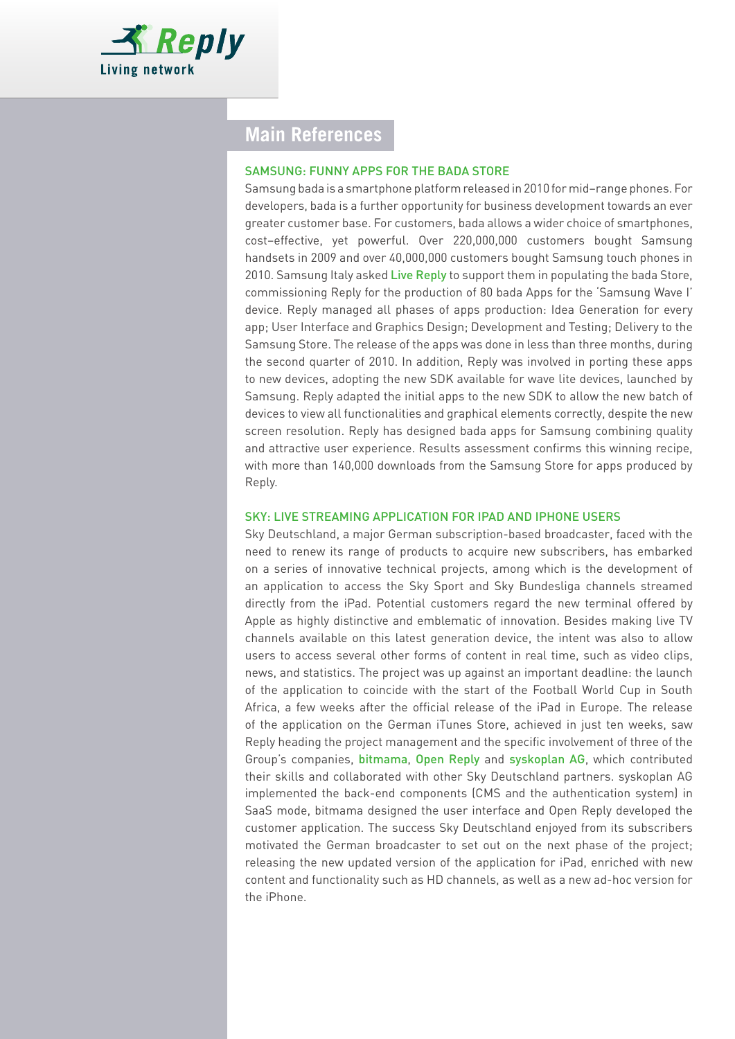

## **Main References**

#### SAMSUNG: FUNNY APPS FOR THE BADA STORE

Samsung bada is a smartphone platform released in 2010 for mid–range phones. For developers, bada is a further opportunity for business development towards an ever greater customer base. For customers, bada allows a wider choice of smartphones, cost–effective, yet powerful. Over 220,000,000 customers bought Samsung handsets in 2009 and over 40,000,000 customers bought Samsung touch phones in 2010. Samsung Italy asked Live Reply to support them in populating the bada Store, commissioning Reply for the production of 80 bada Apps for the 'Samsung Wave I' device. Reply managed all phases of apps production: Idea Generation for every app; User Interface and Graphics Design; Development and Testing; Delivery to the Samsung Store. The release of the apps was done in less than three months, during the second quarter of 2010. In addition, Reply was involved in porting these apps to new devices, adopting the new SDK available for wave lite devices, launched by Samsung. Reply adapted the initial apps to the new SDK to allow the new batch of devices to view all functionalities and graphical elements correctly, despite the new screen resolution. Reply has designed bada apps for Samsung combining quality and attractive user experience. Results assessment confirms this winning recipe, with more than 140,000 downloads from the Samsung Store for apps produced by Reply.

#### SKY: LIVE STREAMING APPLICATION FOR IPAD AND IPHONE USERS

Sky Deutschland, a major German subscription-based broadcaster, faced with the need to renew its range of products to acquire new subscribers, has embarked on a series of innovative technical projects, among which is the development of an application to access the Sky Sport and Sky Bundesliga channels streamed directly from the iPad. Potential customers regard the new terminal offered by Apple as highly distinctive and emblematic of innovation. Besides making live TV channels available on this latest generation device, the intent was also to allow users to access several other forms of content in real time, such as video clips, news, and statistics. The project was up against an important deadline: the launch of the application to coincide with the start of the Football World Cup in South Africa, a few weeks after the official release of the iPad in Europe. The release of the application on the German iTunes Store, achieved in just ten weeks, saw Reply heading the project management and the specific involvement of three of the Group's companies, bitmama, Open Reply and syskoplan AG, which contributed their skills and collaborated with other Sky Deutschland partners. syskoplan AG implemented the back-end components (CMS and the authentication system) in SaaS mode, bitmama designed the user interface and Open Reply developed the customer application. The success Sky Deutschland enjoyed from its subscribers motivated the German broadcaster to set out on the next phase of the project; releasing the new updated version of the application for iPad, enriched with new content and functionality such as HD channels, as well as a new ad-hoc version for the iPhone.